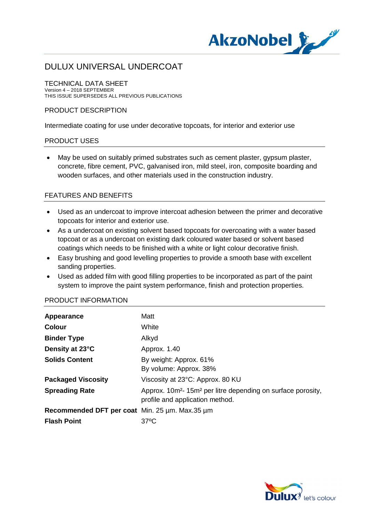

TECHNICAL DATA SHEET Version 4 – 2018 SEPTEMBER THIS ISSUE SUPERSEDES ALL PREVIOUS PUBLICATIONS

#### PRODUCT DESCRIPTION

Intermediate coating for use under decorative topcoats, for interior and exterior use

#### PRODUCT USES

· May be used on suitably primed substrates such as cement plaster, gypsum plaster, concrete, fibre cement, PVC, galvanised iron, mild steel, iron, composite boarding and wooden surfaces, and other materials used in the construction industry.

### FEATURES AND BENEFITS

- · Used as an undercoat to improve intercoat adhesion between the primer and decorative topcoats for interior and exterior use.
- As a undercoat on existing solvent based topcoats for overcoating with a water based topcoat or as a undercoat on existing dark coloured water based or solvent based coatings which needs to be finished with a white or light colour decorative finish.
- · Easy brushing and good levelling properties to provide a smooth base with excellent sanding properties.
- · Used as added film with good filling properties to be incorporated as part of the paint system to improve the paint system performance, finish and protection properties.

| Appearance                                     | Matt                                                                                                                   |
|------------------------------------------------|------------------------------------------------------------------------------------------------------------------------|
| <b>Colour</b>                                  | White                                                                                                                  |
| <b>Binder Type</b>                             | Alkyd                                                                                                                  |
| Density at 23°C                                | Approx. 1.40                                                                                                           |
| <b>Solids Content</b>                          | By weight: Approx. 61%                                                                                                 |
|                                                | By volume: Approx. 38%                                                                                                 |
| <b>Packaged Viscosity</b>                      | Viscosity at 23°C: Approx. 80 KU                                                                                       |
| <b>Spreading Rate</b>                          | Approx. 10m <sup>2</sup> -15m <sup>2</sup> per litre depending on surface porosity,<br>profile and application method. |
| Recommended DFT per coat Min. 25 µm. Max.35 µm |                                                                                                                        |
| <b>Flash Point</b>                             | 37°C                                                                                                                   |

#### PRODUCT INFORMATION

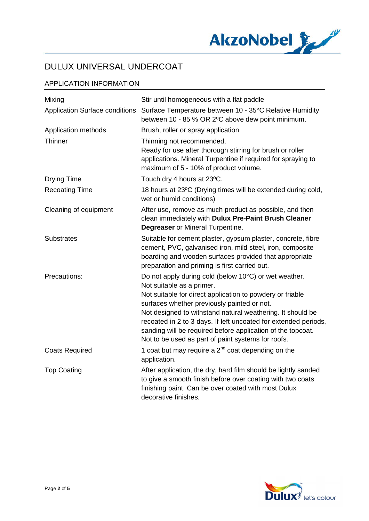

### APPLICATION INFORMATION

| Mixing                                | Stir until homogeneous with a flat paddle                                                                                                                                                                                                                                                                                                                                                                                                            |
|---------------------------------------|------------------------------------------------------------------------------------------------------------------------------------------------------------------------------------------------------------------------------------------------------------------------------------------------------------------------------------------------------------------------------------------------------------------------------------------------------|
| <b>Application Surface conditions</b> | Surface Temperature between 10 - 35°C Relative Humidity<br>between 10 - 85 % OR 2°C above dew point minimum.                                                                                                                                                                                                                                                                                                                                         |
| Application methods                   | Brush, roller or spray application                                                                                                                                                                                                                                                                                                                                                                                                                   |
| Thinner                               | Thinning not recommended.<br>Ready for use after thorough stirring for brush or roller<br>applications. Mineral Turpentine if required for spraying to<br>maximum of 5 - 10% of product volume.                                                                                                                                                                                                                                                      |
| <b>Drying Time</b>                    | Touch dry 4 hours at 23°C.                                                                                                                                                                                                                                                                                                                                                                                                                           |
| <b>Recoating Time</b>                 | 18 hours at 23°C (Drying times will be extended during cold,<br>wet or humid conditions)                                                                                                                                                                                                                                                                                                                                                             |
| Cleaning of equipment                 | After use, remove as much product as possible, and then<br>clean immediately with Dulux Pre-Paint Brush Cleaner<br><b>Degreaser</b> or Mineral Turpentine.                                                                                                                                                                                                                                                                                           |
| <b>Substrates</b>                     | Suitable for cement plaster, gypsum plaster, concrete, fibre<br>cement, PVC, galvanised iron, mild steel, iron, composite<br>boarding and wooden surfaces provided that appropriate<br>preparation and priming is first carried out.                                                                                                                                                                                                                 |
| Precautions:                          | Do not apply during cold (below 10°C) or wet weather.<br>Not suitable as a primer.<br>Not suitable for direct application to powdery or friable<br>surfaces whether previously painted or not.<br>Not designed to withstand natural weathering. It should be<br>recoated in 2 to 3 days. If left uncoated for extended periods,<br>sanding will be required before application of the topcoat.<br>Not to be used as part of paint systems for roofs. |
| <b>Coats Required</b>                 | 1 coat but may require a $2^{nd}$ coat depending on the<br>application.                                                                                                                                                                                                                                                                                                                                                                              |
| <b>Top Coating</b>                    | After application, the dry, hard film should be lightly sanded<br>to give a smooth finish before over coating with two coats<br>finishing paint. Can be over coated with most Dulux<br>decorative finishes.                                                                                                                                                                                                                                          |

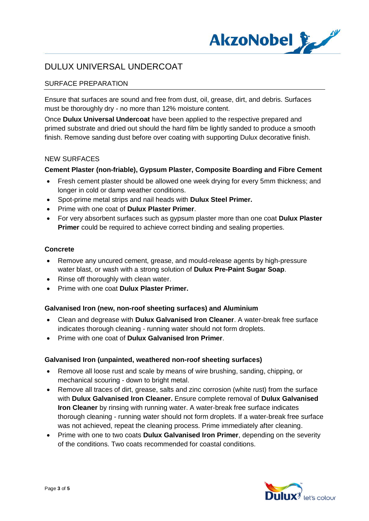

### SURFACE PREPARATION

Ensure that surfaces are sound and free from dust, oil, grease, dirt, and debris. Surfaces must be thoroughly dry - no more than 12% moisture content.

Once **Dulux Universal Undercoat** have been applied to the respective prepared and primed substrate and dried out should the hard film be lightly sanded to produce a smooth finish. Remove sanding dust before over coating with supporting Dulux decorative finish.

#### NEW SURFACES

### **Cement Plaster (non-friable), Gypsum Plaster, Composite Boarding and Fibre Cement**

- · Fresh cement plaster should be allowed one week drying for every 5mm thickness; and longer in cold or damp weather conditions.
- · Spot-prime metal strips and nail heads with **Dulux Steel Primer.**
- · Prime with one coat of **Dulux Plaster Primer**.
- · For very absorbent surfaces such as gypsum plaster more than one coat **Dulux Plaster Primer** could be required to achieve correct binding and sealing properties.

#### **Concrete**

- · Remove any uncured cement, grease, and mould-release agents by high-pressure water blast, or wash with a strong solution of **Dulux Pre-Paint Sugar Soap**.
- Rinse off thoroughly with clean water.
- · Prime with one coat **Dulux Plaster Primer.**

#### **Galvanised Iron (new, non-roof sheeting surfaces) and Aluminium**

- · Clean and degrease with **Dulux Galvanised Iron Cleaner**. A water-break free surface indicates thorough cleaning - running water should not form droplets.
- · Prime with one coat of **Dulux Galvanised Iron Primer**.

#### **Galvanised Iron (unpainted, weathered non-roof sheeting surfaces)**

- · Remove all loose rust and scale by means of wire brushing, sanding, chipping, or mechanical scouring - down to bright metal.
- · Remove all traces of dirt, grease, salts and zinc corrosion (white rust) from the surface with **Dulux Galvanised Iron Cleaner.** Ensure complete removal of **Dulux Galvanised Iron Cleaner** by rinsing with running water. A water-break free surface indicates thorough cleaning - running water should not form droplets. If a water-break free surface was not achieved, repeat the cleaning process. Prime immediately after cleaning.
- · Prime with one to two coats **Dulux Galvanised Iron Primer**, depending on the severity of the conditions. Two coats recommended for coastal conditions.

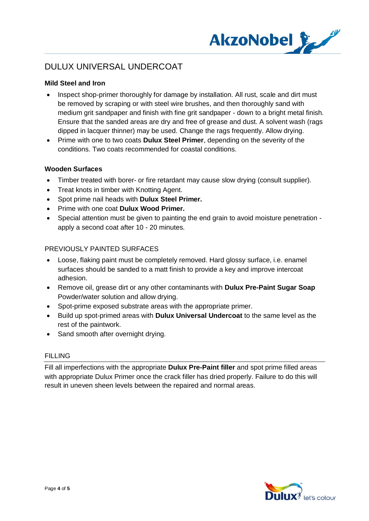

#### **Mild Steel and Iron**

- Inspect shop-primer thoroughly for damage by installation. All rust, scale and dirt must be removed by scraping or with steel wire brushes, and then thoroughly sand with medium grit sandpaper and finish with fine grit sandpaper - down to a bright metal finish. Ensure that the sanded areas are dry and free of grease and dust. A solvent wash (rags dipped in lacquer thinner) may be used. Change the rags frequently. Allow drying.
- · Prime with one to two coats **Dulux Steel Primer**, depending on the severity of the conditions. Two coats recommended for coastal conditions.

#### **Wooden Surfaces**

- · Timber treated with borer- or fire retardant may cause slow drying (consult supplier).
- · Treat knots in timber with Knotting Agent.
- · Spot prime nail heads with **Dulux Steel Primer.**
- · Prime with one coat **Dulux Wood Primer.**
- · Special attention must be given to painting the end grain to avoid moisture penetration apply a second coat after 10 - 20 minutes.

#### PREVIOUSLY PAINTED SURFACES

- · Loose, flaking paint must be completely removed. Hard glossy surface, i.e. enamel surfaces should be sanded to a matt finish to provide a key and improve intercoat adhesion.
- · Remove oil, grease dirt or any other contaminants with **Dulux Pre-Paint Sugar Soap** Powder/water solution and allow drying.
- Spot-prime exposed substrate areas with the appropriate primer.
- · Build up spot-primed areas with **Dulux Universal Undercoat** to the same level as the rest of the paintwork.
- Sand smooth after overnight drying.

#### FILLING

Fill all imperfections with the appropriate **Dulux Pre-Paint filler** and spot prime filled areas with appropriate Dulux Primer once the crack filler has dried properly. Failure to do this will result in uneven sheen levels between the repaired and normal areas.